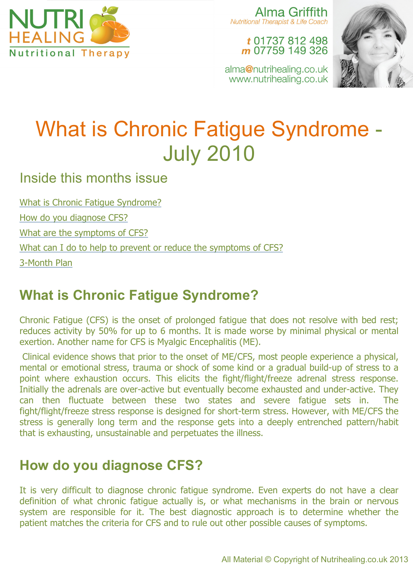

Alma Griffith **Nutritional Therapist & Life Coach** 

> t 01737 812 498 m 07759 149 326

alma@nutrihealing.co.uk www.nutrihealing.co.uk



# What is Chronic Fatigue Syndrome - July 2010

Inside this months issue

What is Chronic Fatigue Syndrome?

How do you diagnose CFS?

What are the symptoms of CFS?

What can I do to help to prevent or reduce the symptoms of CFS?

3-Month Plan

# **What is Chronic Fatigue Syndrome?**

Chronic Fatigue (CFS) is the onset of prolonged fatigue that does not resolve with bed rest; reduces activity by 50% for up to 6 months. It is made worse by minimal physical or mental exertion. Another name for CFS is Myalgic Encephalitis (ME).

Clinical evidence shows that prior to the onset of ME/CFS, most people experience a physical, mental or emotional stress, trauma or shock of some kind or a gradual build-up of stress to a point where exhaustion occurs. This elicits the fight/flight/freeze adrenal stress response. Initially the adrenals are over-active but eventually become exhausted and under-active. They can then fluctuate between these two states and severe fatigue sets in. The fight/flight/freeze stress response is designed for short-term stress. However, with ME/CFS the stress is generally long term and the response gets into a deeply entrenched pattern/habit that is exhausting, unsustainable and perpetuates the illness.

# **How do you diagnose CFS?**

It is very difficult to diagnose chronic fatigue syndrome. Even experts do not have a clear definition of what chronic fatigue actually is, or what mechanisms in the brain or nervous system are responsible for it. The best diagnostic approach is to determine whether the patient matches the criteria for CFS and to rule out other possible causes of symptoms.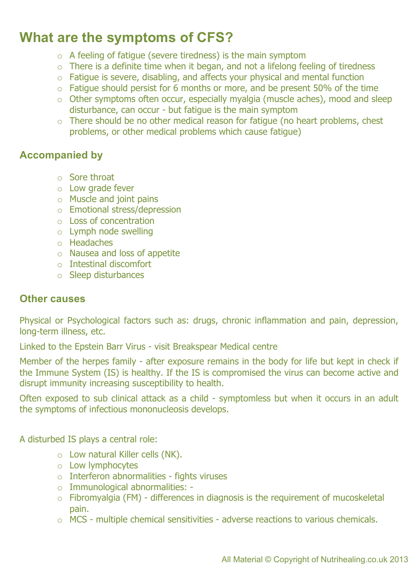### **What are the symptoms of CFS?**

- $\circ$  A feeling of fatigue (severe tiredness) is the main symptom
- $\circ$  There is a definite time when it began, and not a lifelong feeling of tiredness
- o Fatigue is severe, disabling, and affects your physical and mental function
- $\circ$  Fatigue should persist for 6 months or more, and be present 50% of the time
- o Other symptoms often occur, especially myalgia (muscle aches), mood and sleep disturbance, can occur - but fatigue is the main symptom
- $\circ$  There should be no other medical reason for fatigue (no heart problems, chest problems, or other medical problems which cause fatigue)

#### **Accompanied by**

- o Sore throat
- o Low grade fever
- o Muscle and joint pains
- o Emotional stress/depression
- o Loss of concentration
- o Lymph node swelling
- o Headaches
- o Nausea and loss of appetite
- o Intestinal discomfort
- o Sleep disturbances

#### **Other causes**

Physical or Psychological factors such as: drugs, chronic inflammation and pain, depression, long-term illness, etc.

Linked to the Epstein Barr Virus - visit Breakspear Medical centre

Member of the herpes family - after exposure remains in the body for life but kept in check if the Immune System (IS) is healthy. If the IS is compromised the virus can become active and disrupt immunity increasing susceptibility to health.

Often exposed to sub clinical attack as a child - symptomless but when it occurs in an adult the symptoms of infectious mononucleosis develops.

A disturbed IS plays a central role:

- o Low natural Killer cells (NK).
- o Low lymphocytes
- o Interferon abnormalities fights viruses
- o Immunological abnormalities: -
- o Fibromyalgia (FM) differences in diagnosis is the requirement of mucoskeletal pain.
- o MCS multiple chemical sensitivities adverse reactions to various chemicals.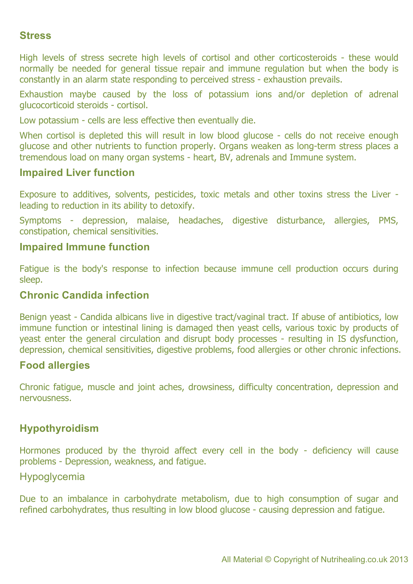#### **Stress**

High levels of stress secrete high levels of cortisol and other corticosteroids - these would normally be needed for general tissue repair and immune regulation but when the body is constantly in an alarm state responding to perceived stress - exhaustion prevails.

Exhaustion maybe caused by the loss of potassium ions and/or depletion of adrenal glucocorticoid steroids - cortisol.

Low potassium - cells are less effective then eventually die.

When cortisol is depleted this will result in low blood glucose - cells do not receive enough glucose and other nutrients to function properly. Organs weaken as long-term stress places a tremendous load on many organ systems - heart, BV, adrenals and Immune system.

#### **Impaired Liver function**

Exposure to additives, solvents, pesticides, toxic metals and other toxins stress the Liver leading to reduction in its ability to detoxify.

Symptoms - depression, malaise, headaches, digestive disturbance, allergies, PMS, constipation, chemical sensitivities.

#### **Impaired Immune function**

Fatigue is the body's response to infection because immune cell production occurs during sleep.

#### **Chronic Candida infection**

Benign yeast - Candida albicans live in digestive tract/vaginal tract. If abuse of antibiotics, low immune function or intestinal lining is damaged then yeast cells, various toxic by products of yeast enter the general circulation and disrupt body processes - resulting in IS dysfunction, depression, chemical sensitivities, digestive problems, food allergies or other chronic infections.

#### **Food allergies**

Chronic fatigue, muscle and joint aches, drowsiness, difficulty concentration, depression and nervousness.

#### **Hypothyroidism**

Hormones produced by the thyroid affect every cell in the body - deficiency will cause problems - Depression, weakness, and fatigue.

#### Hypoglycemia

Due to an imbalance in carbohydrate metabolism, due to high consumption of sugar and refined carbohydrates, thus resulting in low blood glucose - causing depression and fatigue.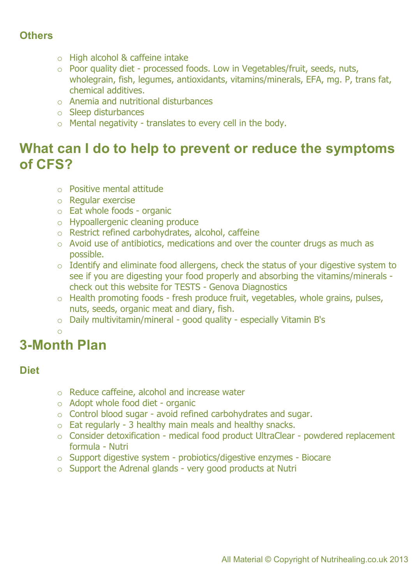#### **Others**

- o High alcohol & caffeine intake
- o Poor quality diet processed foods. Low in Vegetables/fruit, seeds, nuts, wholegrain, fish, legumes, antioxidants, vitamins/minerals, EFA, mg. P, trans fat, chemical additives.
- o Anemia and nutritional disturbances
- o Sleep disturbances
- o Mental negativity translates to every cell in the body.

### **What can I do to help to prevent or reduce the symptoms of CFS?**

- o Positive mental attitude
- o Regular exercise
- o Eat whole foods organic
- o Hypoallergenic cleaning produce
- o Restrict refined carbohydrates, alcohol, caffeine
- o Avoid use of antibiotics, medications and over the counter drugs as much as possible.
- o Identify and eliminate food allergens, check the status of your digestive system to see if you are digesting your food properly and absorbing the vitamins/minerals check out this website for TESTS - Genova Diagnostics
- $\circ$  Health promoting foods fresh produce fruit, vegetables, whole grains, pulses, nuts, seeds, organic meat and diary, fish.
- o Daily multivitamin/mineral good quality especially Vitamin B's
- o

### **3-Month Plan**

#### **Diet**

- o Reduce caffeine, alcohol and increase water
- o Adopt whole food diet organic
- o Control blood sugar avoid refined carbohydrates and sugar.
- $\circ$  Eat regularly 3 healthy main meals and healthy snacks.
- o Consider detoxification medical food product UltraClear powdered replacement formula - Nutri
- o Support digestive system probiotics/digestive enzymes Biocare
- $\circ$  Support the Adrenal glands very good products at Nutri